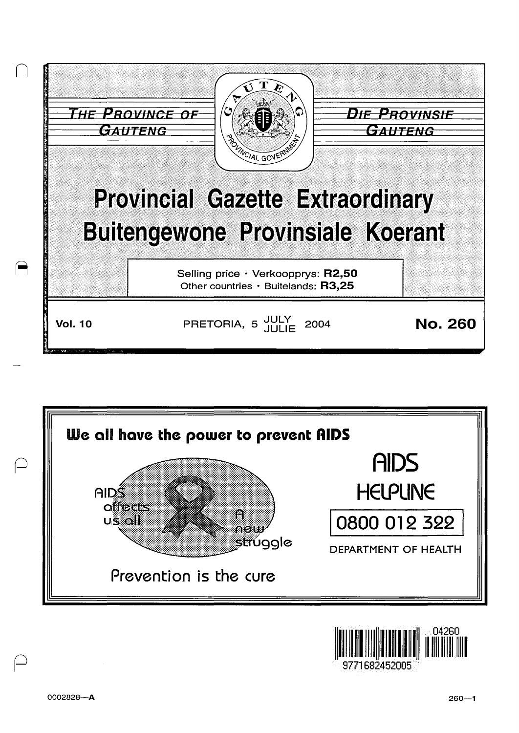





 $\ominus$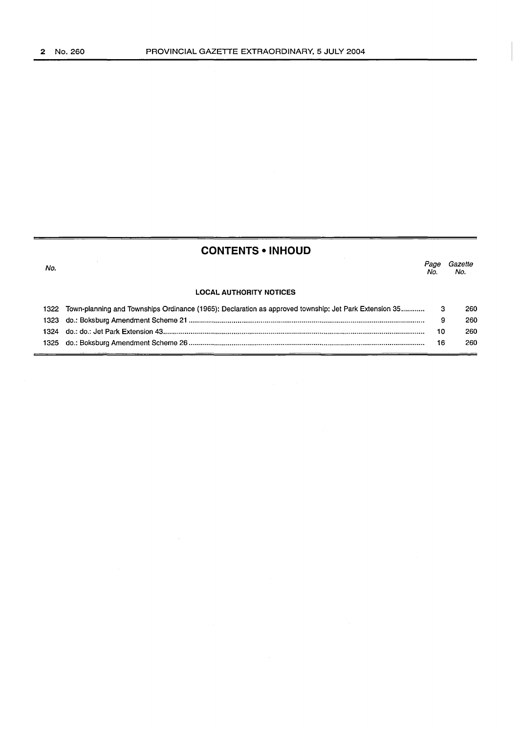# **CONTENTS • INHOUD**

| No. |                                                                                                              | Page<br>No. | Gazette<br>No. |  |
|-----|--------------------------------------------------------------------------------------------------------------|-------------|----------------|--|
|     | <b>LOCAL AUTHORITY NOTICES</b>                                                                               |             |                |  |
|     | 1322 Town-planning and Townships Ordinance (1965): Declaration as approved township; Jet Park Extension 35 3 |             | 260            |  |
|     |                                                                                                              | 9           | 260            |  |
|     |                                                                                                              | 10          | 260            |  |
|     |                                                                                                              | 16          | 260            |  |
|     |                                                                                                              |             |                |  |

 $\overline{\phantom{a}}$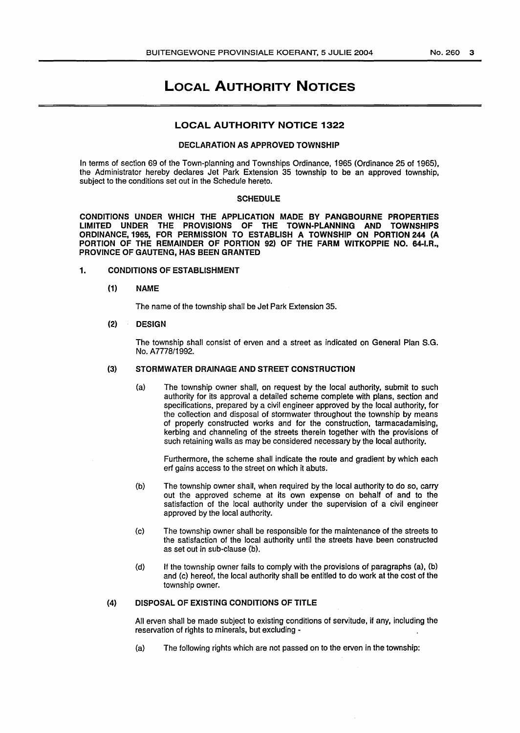# LOCAL AUTHORITY NOTICES

# LOCAL AUTHORITY NOTICE 1322

#### DECLARATION AS APPROVED TOWNSHIP

In terms of section 69 of the Town-planning and Townships Ordinance, 1965 (Ordinance 25 of 1965), the Administrator hereby declares Jet Park Extension 35 township to be an approved township, subject to the conditions set out in the Schedule hereto.

### SCHEDULE

CONDITIONS UNDER WHICH THE APPLICATION MADE BY PANGBOURNE PROPERTIES LIMITED UNDER THE PROVISIONS OF THE TOWN-PLANNING AND TOWNSHIPS ORDINANCE,1965, FOR PERMISSION TO ESTABLISH A TOWNSHIP ON PORTION 244 (A PORTION OF THE REMAINDER OF PORTION 92) OF THE FARM WITKOPPIE NO. 64-I.R., PROVINCE OF GAUTENG, HAS BEEN GRANTED

1. CONDITIONS OF ESTABLISHMENT

#### (1) NAME

The name of the township shall be Jet Park Extension 35.

# (2) DESIGN

The township shall consist of erven and a street as indicated on General Plan S.G. No. A7778/1992.

### (3) STORMWATER DRAINAGE AND STREET CONSTRUCTION

(a) The township owner shall, on request by the local authority, submit to such authority for its approval a detailed scheme complete with plans, section and specifications, prepared by a civil engineer approved by the local authority, for the collection and disposal of stormwater throughout the township by means of properly constructed works and for the construction, tarmacadamising, kerbing and channeling of the streets therein together with the provisions of such retaining walls as may be considered necessary by the local authority.

Furthermore, the scheme shall indicate the route and gradient by which each erf gains access to the street on which it abuts.

- (b) The township owner shall, when required by the local authority to do so, carry out the approved scheme at its own expense on behalf of and to the satisfaction of the local authority under the supervision of a civil engineer approved by the local authority.
- (c) The township owner shall be responsible for the maintenance of the streets to the satisfaction of the local authority until the streets have been constructed as set out in sub-clause (b).
- (d) If the township owner fails to comply with the provisions of paragraphs (a), (b) and (c) hereof, the local authority shall be entitled to do work at the cost of the township owner.

# (4) DISPOSAL OF EXISTING CONDITIONS OF TITLE

All erven shall be made subject to existing conditions of servitude, if any, including the reservation of rights to minerals, but excluding -

(a) The following rights which are not passed on to the erven in the township: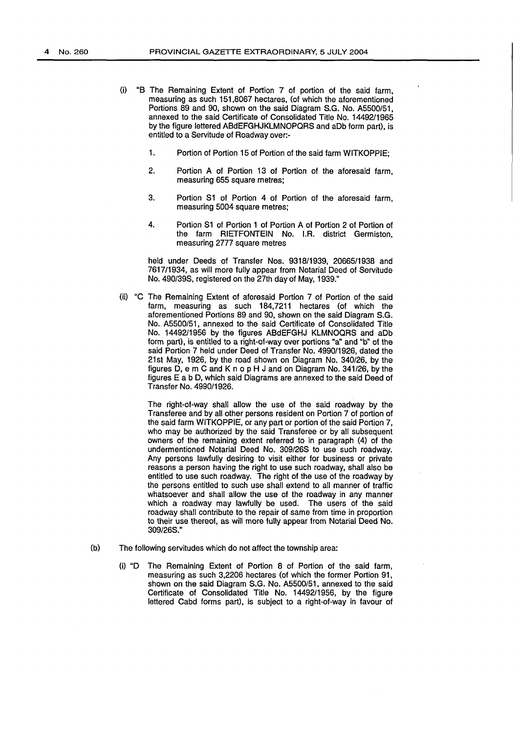- (i) "B The Remaining Extent of Portion 7 of portion of the said farm, measuring as such 151,8067 hectares, (of which the aforementioned Portions 89 and 90, shown on the said Diagram S.G. No. A5500/51, annexed to the said Certificate of Consolidated Title No. 14492/1965 by the figure lettered ABdEFGHJKLMNOPQRS and aDb form part), is entitled to a Servitude of Roadway over:-
	- 1. Portion of Portion 15 of Portion of the said farm WITKOPPIE;
	- 2. Portion A of Portion 13 of Portion of the aforesaid farm, measuring 655 square metres:
	- 3. Portion S1 of Portion 4 of Portion of the aforesaid farm, measuring 5004 square metres;
	- 4. Portion S1 of Portion 1 of Portion A of Portion 2 of Portion of the farm RIETFONTEIN No. I.R. district Germiston, measuring 2777 square metres

held under Deeds of Transfer Nos. 9318/1939, 20665/1938 and 7617/1934, as will more fully appear from Notarial Deed of Servitude No. 490/398, registered on the 27th day of May, 1939."

(ii) "C The Remaining Extent of aforesaid Portion 7 of Portion of the said farm, measuring as such 184,7211 hectares (of which the aforementioned Portions 89 and 90, shown on the said Diagram S.G. No. A5500/51, annexed to the said Certificate of Consolidated Title No. 14492/1956 by the figures ABdEFGHJ KLMNOQR8 and aDb form part), is entitled to a right-of-way over portions "a" and "b" of the said Portion 7 held under Deed of Transfer No. 4990/1926, dated the 21st May, 1926, by the road shown on Diagram No. 340/26, by the figures D, em C and K no pH J and on Diagram No. 341/26, by the figures E a b D, which said Diagrams are annexed to the said Deed of Transfer No. 4990/1926.

> The right-of-way shall allow the use of the said roadway by the Transferee and by all other persons resident on Portion 7 of portion of the said farm WITKOPPIE, or any part or portion of the said Portion 7, who may be authorized by the said Transferee or by all subsequent owners of the remaining extent referred to in paragraph (4) of the undermentioned Notarial Deed No. 309/268 to use such roadway. Any persons lawfully desiring to visit either for business or private reasons a person having the right to use such roadway, shall also be entitled to use such roadway. The right of the use of the roadway by the persons entitled to such use shall extend to all manner of traffic whatsoever and shall allow the use of the roadway in any manner which a roadway may lawfully be used. The users of the said roadway shall contribute to the repair of same from time in proportion to their use thereof, as will more fully appear from Notarial Deed No. 309/26S."

- (b) The following servitudes which do not affect the township area:
	- (i) "D The Remaining Extent of Portion 8 of Portion of the said farm, measuring as such 3,2206 hectares (of which the former Portion 91, shown on the said Diagram S.G. No. A5500/51, annexed to the said Certificate of Consolidated Title No. 14492/1956, by the figure lettered Cabd forms part), is subject to a right-of-way in favour of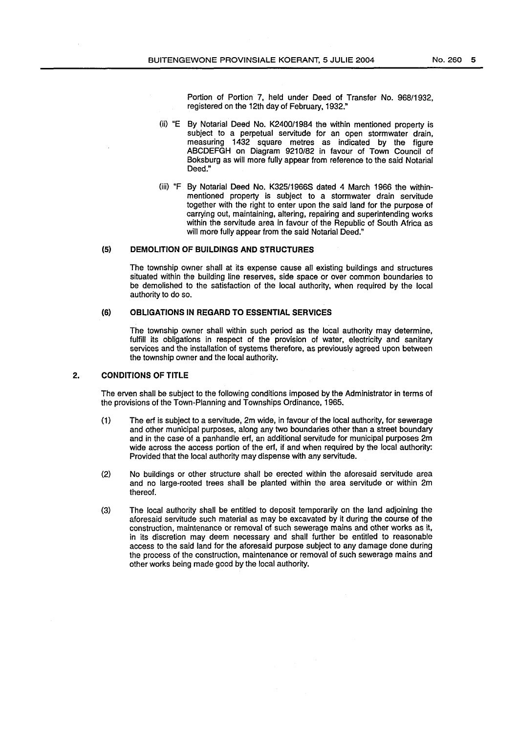Portion of Portion 7, held under Deed of Transfer No. 968/1932, registered on the 12th day of February, 1932."

- (ii) "E By Notarial Deed No. K2400/1984 the within mentioned property is subject to a perpetual servitude for an open stormwater drain, measuring 1432 square metres as indicated by the figure ABCDEFGH on Diagram 9210/82 in favour of Town Council of Boksburg as will more fully appear from reference to the said Notarial Deed."
- (iii) "F By Notarial Deed No. K325/1966S dated 4 March 1966 the withinmentioned property is subject to a stormwater drain servitude together with the right to enter upon the said land for the purpose of carrying out, maintaining, altering, repairing and superintending works within the servitude area in favour of the Republic of South Africa as will more fully appear from the said Notarial Deed."

# (5) **DEMOLITION OF BUILDINGS AND STRUCTURES**

The township owner shall at its expense cause all existing buildings and structures situated within the building line reserves, side space or over common boundaries to be demolished to the satisfaction of the local authority, when required by the local authority to do so.

# **(6) OBLIGATIONS IN REGARD TO ESSENTIAL SERVICES**

The township owner shall within such period as the local authority may determine, fulfill its obligations in respect of the provision of water, electricity and sanitary services and the installation of systems therefore, as previously agreed upon between the township owner and the local authority.

### **2. CONDITIONS OF TITLE**

The erven shall be subject to the following conditions imposed by the Administrator in terms of the provisions of the Town-Planning and Townships Ordinance, 1965.

- (1) The erf is subject to a servitude, 2m wide, in favour of the local authority, for sewerage and other municipal purposes, along any two boundaries other than a street boundary and in the case of a panhandle erf, an additional servitude for municipal purposes 2m wide across the access portion of the erf, if and when required by the local authority: Provided that the local authority may dispense with any servitude.
- (2) No buildings or other structure shall be erected within the aforesaid servitude area and no large-rooted trees shall be planted within the area servitude or within 2m thereof.
- (3) The local authority shall be entitled to deposit temporarily on the land adjoining the aforesaid servitude such material as may be excavated by it during the course of the construction, maintenance or removal of such sewerage mains and other works as it, in its discretion may deem necessary and shall further be entitled to reasonable access to the said land for the aforesaid purpose subject to any damage done during the process of the construction, maintenance or removal of such sewerage mains and other works being made good by the local authority.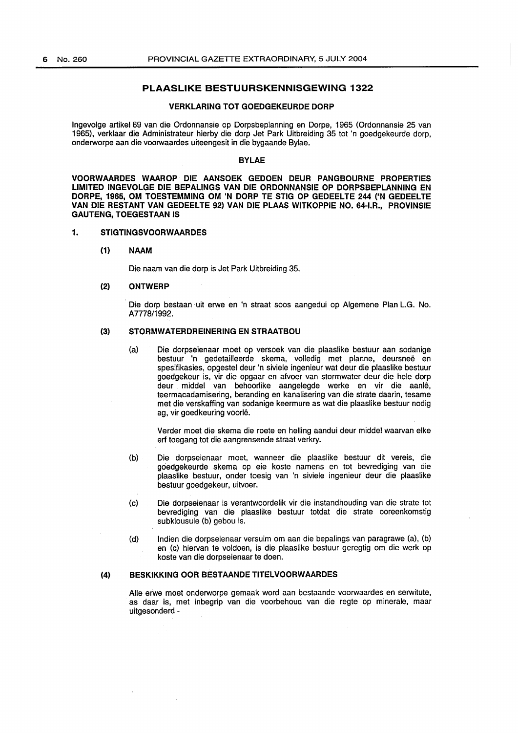# **PLAASLIKE BESTUURSKENNISGEWING 1322**

## **VERKLARING TOT GOEDGEKEURDE DORP**

lngevolge artikel 69 van die Ordonnansie op Dorpsbeplanning en Dorpe, 1965 (Ordonnansie 25 van 1965), verklaar die Administrateur hierby die dorp Jet Park Uitbreiding 35 tot 'n goedgekeurde dorp, onderworpe aan die voorwaardes uiteengesit in die bygaande Bylae.

# **BYLAE**

**VOORWAARDES WAAROP DIE AANSOEK GEDOEN DEUR PANGBOURNE PROPERTIES LIMITED INGEVOLGE DIE BEPALINGS VAN DIE ORDONNANSIE OP DORPSBEPLANNING EN**  DORPE, 1965, OM TOESTEMMING OM 'N DORP TE STIG OP GEDEELTE 244 ('N GEDEELTE **VAN DIE RESTANT VAN GEDEELTE 92) VAN DIE PLAAS WITKOPPIE NO. 64-I.R., PROVINSIE GAUTENG,TOEGESTAANIS** 

### **1. STIGTINGSVOORWAARDES**

### **{1) NAAM**

Die naam van die dorp is Jet Park Uitbreiding 35.

# **{2) ONTWERP**

Die dorp bestaan uit erwe en 'n straat soos aangedui op Algemene Plan L.G. No. A7778/1992.

# **{3) STORMWATERDREINERING EN STRAATBOU**

(a) Die dorpseienaar moet op versoek van die plaaslike bestuur aan sodanige bestuur 'n gedetailleerde skema, volledig met planne, deursnee en spesifikasies, opgestel deur 'n siviele ingenieur wat deur die plaaslike bestuur goedgekeur is, vir die opgaar en afvoer van stormwater deur die hele dorp deur middel van behoorlike aangelegde werke en vir die aanle, teermacadamisering, beranding en kanalisering van die strate daarin. tesame met die verskaffing van sodanige keermure as wat die plaaslike bestuur nodig ag, vir goedkeuring voorle.

Verder moet die skema die roete en helling aandui deur middel waarvan elke erf toegang tot die aangrensende straat verkry.

- (b) Die dorpseienaar moet, wanneer die plaaslike bestuur dit vereis, die goedgekeurde skema op eie koste namens en tot bevrediging van die plaaslike bestuur, onder toesig van 'n siviele ingenieur deur die plaaslike bestuur goedgekeur, uitvoer.
- (c) Die dorpseienaar is verantwoordelik vir die instandhouding van die strata tot bevrediging van die plaaslike bestuur totdat die strate ooreenkomstig subklousule (b) gebou is.
- (d) Indien die dorpseienaar versuim om aan die bepalings van paragrawe (a), (b) en (c) hiervan te voldoen, is die plaaslike bestuur geregtig om die werk op koste van die dorpseienaar te doen.

#### **{4) BESKIKKING OOR BESTAANDE TITELVOORWAARDES**

Aile erwe moet onderworpe gemaak word aan bestaande voorwaardes en serwitute, as daar is, met inbegrip van die voorbehoud van die regte op minerale, maar uitgesonderd -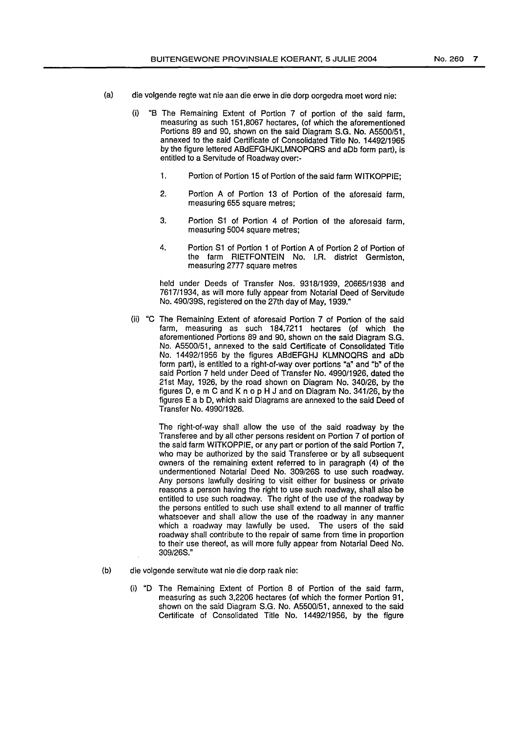- (a) die volgende regte wat nie aan die erwe in die dorp oorgedra moet word nie:
	- (i) "8 The Remaining Extent of Portion 7 of portion of the said farm, measuring as such 151,8067 hectares, (of which the aforementioned Portions 89 and 90, shown on the said Diagram S.G. No. A5500/51, annexed to the said Certificate of Consolidated Title No. 14492/1965 by the figure lettered ABdEFGHJKLMNOPQRS and aDb form part), is entitled to a Servitude of Roadway over:-
		- 1. Portion of Portion 15 of Portion of the said farm WITKOPPIE;
		- 2. Portion A of Portion 13 of Portion of the aforesaid farm, measuring 655 square metres;
		- 3. Portion S1 of Portion 4 of Portion of the aforesaid farm, measuring 5004 square metres;
		- 4. Portion S1 of Portion 1 of Portion A of Portion 2 of Portion of the farm RIETFONTEIN No. I.R. district Germiston, measuring 2777 square metres

held under Deeds of Transfer Nos. 9318/1939, 20665/1938 and 7617/1934, as will more fully appear from Notarial Deed of Servitude No. 490/39S, registered on the 27th day of May, 1939."

(ii) "C The Remaining Extent of aforesaid Portion 7 of Portion of the said farm, measuring as such 184,7211 hectares (of which the aforementioned Portions 89 and 90, shown on the said Diagram S.G. No. A5500/51, annexed to the said Certificate of Consolidated Title No. 14492/1956 by the figures ABdEFGHJ KLMNOQRS and aDb form part), is entitled to a right-of-way over portions "a" and "b" of the said Portion 7 held under Deed of Transfer No. 4990/1926, dated the 21st May, 1926, by the road shown on Diagram No. 340/26, by the figures D, e m C and K no p H J and on Diagram No. 341/26, by the figures E a b D, which said Diagrams are annexed to the said Deed of Transfer No. 4990/1926.

> The right-of-way shall allow the use of the said roadway by the Transferee and by all other persons resident on Portion 7 of portion of the said farm WITKOPPIE, or any part or portion of the said Portion 7, who may be authorized by the said Transferee or by all subsequent owners of the remaining extent referred to in paragraph (4) of the undermentioned Notarial Deed No. 309/26S to use such roadway. Any persons lawfully desiring to visit either for business or private reasons a person having the right to use such roadway, shall also be entitled to use such roadway. The right of the use of the roadway by the persons entitled to such use shall extend to all manner of traffic whatsoever and shall allow the use of the roadway in any manner which a roadway may lawfully be used. The users of the said roadway shall contribute to the repair of same from time in proportion to their use thereof, as will more fully appear from Notarial Deed No. 309/26S."

- (b) die volgende serwitute wat nie die dorp raak nie:
	- (i) "D The Remaining Extent of Portion 8 of Portion of the said farm, measuring as such 3,2206 hectares (of which the former Portion 91, shown on the said Diagram S.G. No. A5500/51, annexed to the said Certificate of Consolidated Title No. 14492/1956, by the figure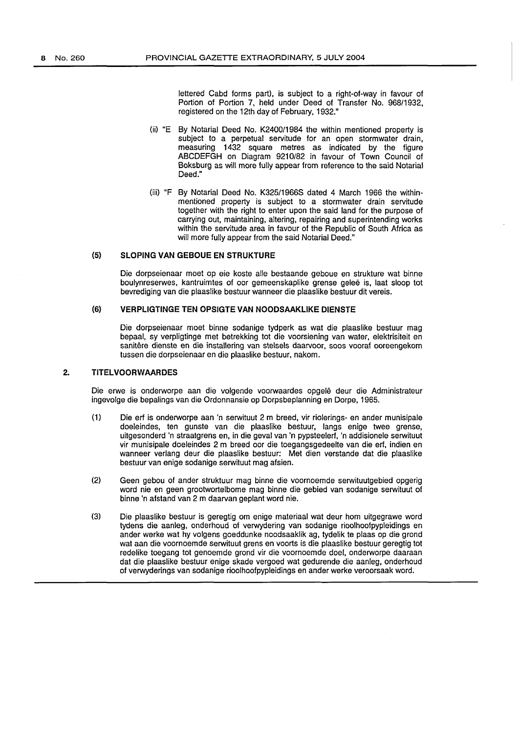lettered Cabd forms part), is subject to a right-of-way in favour of Portion of Portion 7, held under Deed of Transfer No. 968/1932, registered on the 12th day of February, 1932."

- (ii) "E By Notarial Deed No. K2400/1984 the within mentioned property is subject to a perpetual servitude for an open stormwater drain, measuring 1432 square metres as indicated by the figure ABCDEFGH on Diagram 9210/82 in favour of Town Council of Boksburg as will more fully appear from reference to the said Notarial Deed."
- (iii) "F By Notarial Deed No. K325/1966S dated 4 March 1966 the withinmentioned property is subject to a stormwater drain servitude together with the right to enter upon the said land for the purpose of carrying out, maintaining, altering, repairing and superintending works within the servitude area in favour of the Republic of South Africa as will more fully appear from the said Notarial Deed."

# (5) **SLOPING VAN GEBOUE EN STRUKTURE**

Die dorpseienaar meet op eie koste aile bestaande geboue en strukture wat binne boulynreserwes, kantruimtes of oor gemeenskaplike grense gelee is, laat sloop tot bevrediging van die plaaslike bestuur wanneer die plaaslike bestuur dit vereis.

# (6) **VERPLIGTINGE TEN OPSIGTE VAN NOODSAAKLIKE DIENSTE**

Die dorpseienaar moet binne sodanige tydperk as wat die plaaslike bestuur mag bepaal, sy verpligtinge met betrekking tot die voorsiening van water, elektrisiteit en sanitere dienste en die installering van stelsels daarvoor, soos vooraf ooreengekom tussen die dorpseienaar en die plaaslike bestuur, nakom.

### **2. TITELVOORWAARDES**

Die erwe is onderworpe aan die volgende voorwaardes opgele deur die Administrateur ingevolge die bepalings van die Ordonnansie op Dorpsbeplanning en Dorpe, 1965.

- (1) Die erf is onderworpe aan 'n serwituut 2m breed, vir riolerings- en ander munisipale doeleindes, ten gunste van die plaaslike bestuur, langs enige twee grense, uitgesonderd 'n straatgrens en, in die geval van 'n pypsteelerf, 'n addisionele serwituut vir munisipale doeleindes 2 m breed oor die toegangsgedeelte van die erf, indien en wanneer verlang deur die plaaslike bestuur: Met dien verstande dat die plaaslike bestuur van enige sodanige serwituut mag afsien.
- (2) Geen gebou of ander struktuur mag binne die voornoemde serwituutgebied opgerig word nie en geen grootwortelbome mag binne die gebied van sodanige serwituut of binne 'n afstand van 2 m daarvan geplant word nie.
- (3) Die plaaslike bestuur is geregtig om enige materiaal wat deur hom uitgegrawe word tydens die aanleg, onderhoud of verwydering van sodanige rioolhoofpypleidings en ander werke wat hy volgens goeddunke noodsaaklik ag, tydelik te plaas op die grond wat aan die voornoemde serwituut grens en voorts is die plaaslike bestuur geregtig tot redelike toegang tot genoemde grond vir die voornoemde doel, onderworpe daaraan dat die plaaslike bestuur enige skade vergoed wat gedurende die aanleg, onderhoud of verwyderings van sodanige rioolhoofpypleidings en ander werke veroorsaak word.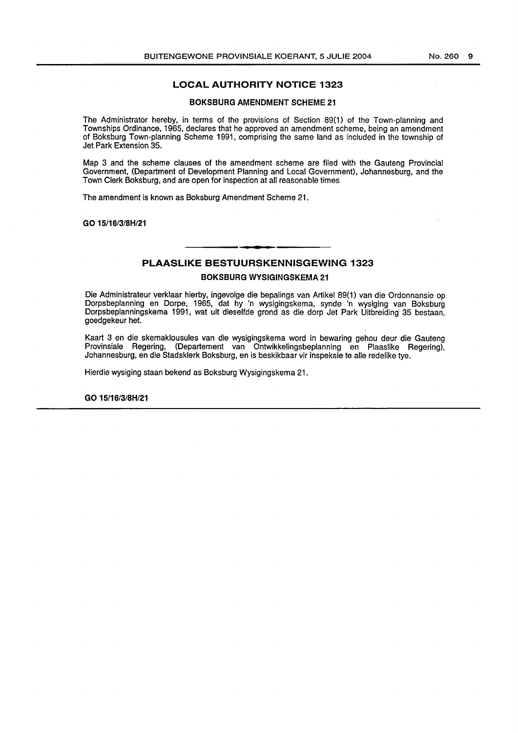# LOCAL AUTHORITY NOTICE 1323

# BOKSBURG AMENDMENT SCHEME 21

The Administrator hereby, in terms of the provisions of Section 89(1) of the Town-planning and Townships Ordinance, 1965, declares that he approved an amendment scheme, being an amendment of Boksburg Town-planning Scheme 1991, comprising the same land as included in the township of Jet Park Extension 35.

Map 3 and the scheme clauses of the amendment scheme are filed with the Gauteng Provincial Government, (Department of Development Planning and Local Government), Johannesburg, and the Town Clerk Boksburg, and are open for inspection at all reasonable times

The amendment is known as Boksburg Amendment Scheme 21.

GO 15/16/3/SH/21

# PLAASLIKE BESTUURSKENNISGEWING 1323 BOKSBURG WYSIGINGSKEMA 21

Die Administrateur verklaar hierby, ingevolge die bepalings van Artikel 89(1) van die Ordonnansie op Dorpsbeplanning en Dorpe, 1965, dat hy 'n wysigingskema, synde 'n wysiging van Boksburg Dorpsbeplanningskema 1991, wat uit dieselfde grond as die dorp Jet Park Uitbreiding 35 bestaan, goedgekeur het.

Kaart 3 en die skemaklousules van die wysigingskema word in bewaring gehou deur die Gauteng Provinsiale Regering, (Departement van Ontwikkelingsbeplanning en Plaaslike Regering), Johannesburg, en die Stadsklerk Boksburg, en is beskikbaar vir inspeksie te aile redelike tye.

Hierdie wysiging staan bekend as Boksburg Wysigingskema 21.

GO 15/16/3/SH/21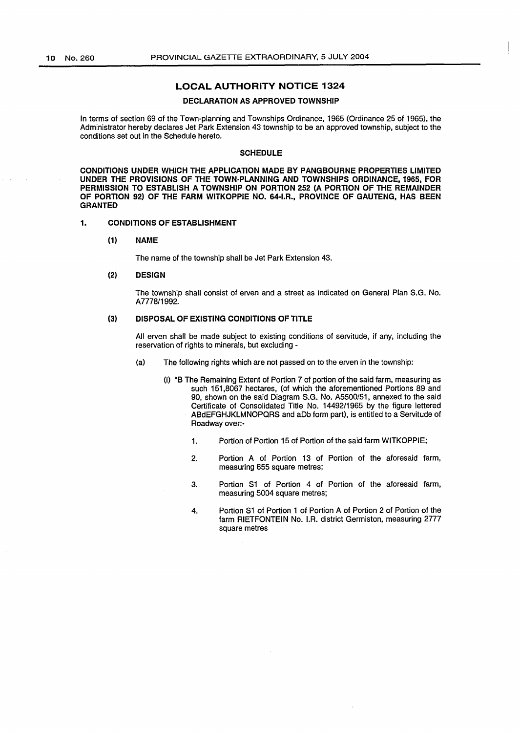# **LOCAL AUTHORITY NOTICE 1324**

# **DECLARATION AS APPROVED TOWNSHIP**

In terms of section 69 of the Town-planning and Townships Ordinance, 1965 (Ordinance 25 of 1965), the Administrator hereby declares Jet Park Extension 43 township to be an approved township, subject to the conditions set out in the Schedule hereto.

### **SCHEDULE**

**CONDITIONS UNDER WHICH THE APPLICATION MADE BY PANGBOURNE PROPERTIES LIMITED UNDER THE PROVISIONS OF THE TOWN-PLANNING AND TOWNSHIPS ORDINANCE, 1965, FOR PERMISSION TO ESTABLISH A TOWNSHIP ON PORTION 252 (A PORTION OF THE REMAINDER OF PORTION 92) OF THE FARM WITKOPPIE NO. 64-I.R., PROVINCE OF GAUTENG, HAS BEEN GRANTED** 

#### **1. CONDITIONS OF ESTABLISHMENT**

**(1) NAME** 

The name of the township shall be Jet Park Extension 43.

#### **(2) DESIGN**

The township shall consist of erven and a street as indicated on General Plan S.G. No. A 7778/1992.

# (3) **DISPOSAL OF EXISTING CONDITIONS OF TITLE**

All erven shall be made subject to existing conditions of servitude, if any, including the reservation of rights to minerals, but excluding -

- (a) The following rights which are not passed on to the erven in the township:
	- (i) "8 The Remaining Extent of Portion 7 of portion of the said farm, measuring as such 151,8067 hectares, (of which the aforementioned Portions 89 and 90, shown on the said Diagram S.G. No. A5500/51, annexed to the said Certificate of Consolidated Title No. 14492/1965 by the figure lettered ABdEFGHJKLMNOPQRS and aDb form part), is entitled to a Servitude of Roadway over:-
		- 1. Portion of Portion 15 of Portion of the said farm WITKOPPIE;
		- 2. Portion A of Portion 13 of Portion of the aforesaid farm, measuring 655 square metres;
		- 3. Portion S1 of Portion 4 of Portion of the aforesaid farm, measuring 5004 square metres;
		- 4. Portion S1 of Portion 1 of Portion A of Portion 2 of Portion of the farm RIETFONTEIN No. I.A. district Germiston, measuring 2777 square metres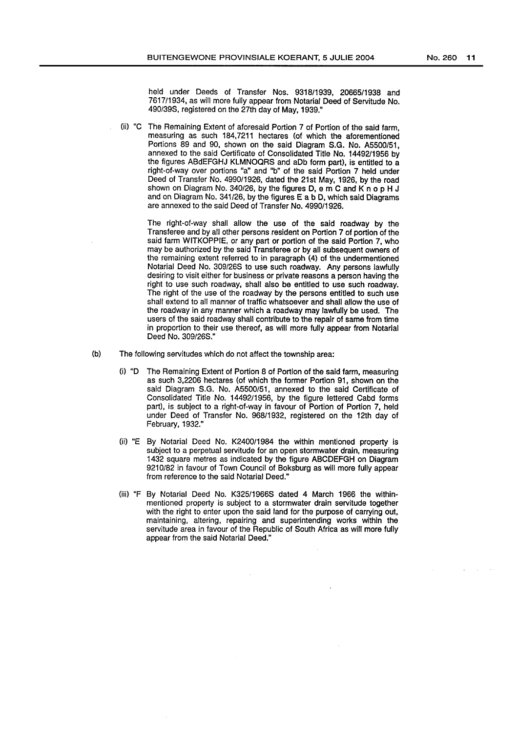held under Deeds of Transfer Nos. 9318/1939, 20665/1938 and 7617/1934, as will more fully appear from Notarial Deed of Servitude No. 490/39S, registered on the 27th day of May, 1939."

(ii) "C The Remaining Extent of aforesaid Portion 7 of Portion of the said farm, measuring as such 184,7211 hectares (of which the aforementioned Portions 89 and 90, shown on the said Diagram S.G. No. A5500/51, annexed to the said Certificate of Consolidated Title No. 14492/1956 by the figures ABdEFGHJ KLMNOQRS and aDb form part), is entitled to a right-of-way over portions "a" and "b" of the said Portion 7 held under Deed of Transfer No. 4990/1926, dated the 21st May, 1926, by the road shown on Diagram No. 340/26, by the figures D, e m C and K n o p H J and on Diagram No. 341/26, by the figures E a b D, which said Diagrams are annexed to the said Deed of Transfer No. 4990/1926.

> The right-of-way shall allow the use of the said roadway by the Transferee and by all other persons resident on Portion 7 of portion of the said farm WITKOPPIE, or any part or portion of the said Portion 7, who may be authorized by the said Transferee or by all subsequent owners of the remaining extent referred to in paragraph (4) of the undermentioned Notarial Deed No. 309/268 to use such roadway. Any persons lawfully desiring to visit either for business or private reasons a person having the right to use such roadway, shall also be entitled to use such roadway. The right of the use of the roadway by the persons entitled to such use shall extend to all manner of traffic whatsoever and shall allow the use of the roadway in any manner which a roadway may lawfully be used. The users of the said roadway shall contribute to the repair of same from time in proportion to their use thereof, as will more fully appear from Notarial Deed No. 309/26S."

- (b) The following servitudes which do not affect the township area:
	- (i) "D The Remaining Extent of Portion 8 of Portion of the said farm, measuring as such 3,2206 hectares (of which the former Portion 91, shown on the said Diagram S.G. No. A5500/51, annexed to the said Certificate of Consolidated Title No. 14492/1956, by the figure lettered Cabd forms part), is subject to a right-of-way in favour of Portion of Portion 7, held under Deed of Transfer No. 968/1932, registered on the 12th day of February, 1932."
	- (ii) "E By Notarial Deed No. K2400/1984 the within mentioned property is subject to a perpetual servitude for an open stormwater drain, measuring 1432 square metres as indicated by the figure ABCDEFGH on Diagram 9210/82 in favour of Town Council of Boksburg as will more fully appear from reference to the said Notarial Deed."
	- (iii) "F By Notarial Deed No. K325/1966S dated 4 March 1966 the withinmentioned property is subject to a stormwater drain servitude together with the right to enter upon the said land for the purpose of carrying out. maintaining, altering, repairing and superintending works within the servitude area in favour of the Republic of South Africa as will more fully appear from the said Notarial Deed."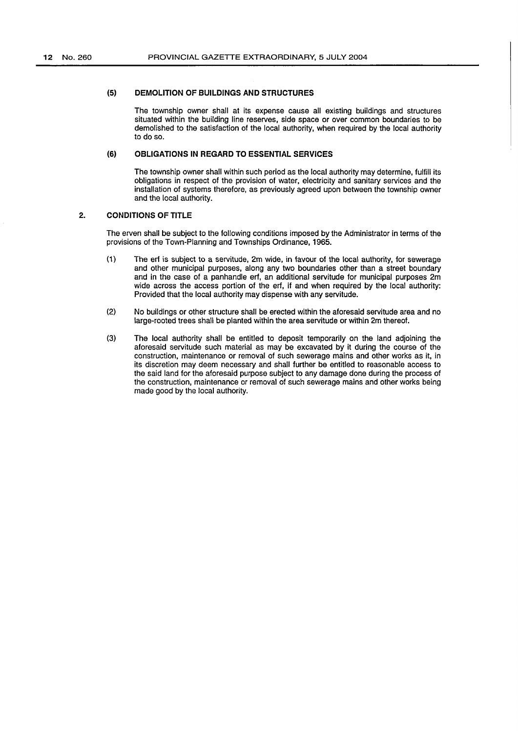### **(5) DEMOLITION OF BUILDINGS AND STRUCTURES**

The township owner shall at its expense cause all existing buildings and structures situated within the building line reserves, side space or over common boundaries to be demolished to the satisfaction of the local authority, when required by the local authority to do so.

### **(6) OBLIGATIONS IN REGARD TO ESSENTIAL SERVICES**

The township owner shall within such period as the local authority may determine, fulfill its obligations in respect of the provision of water, electricity and sanitary services and the installation of systems therefore, as previously agreed upon between the township owner and the local authority.

# **2. CONDITIONS OF TITLE**

The erven shall be subject to the following conditions imposed by the Administrator in terms of the provisions of the Town-Planning and Townships Ordinance, 1965.

- (1) The erf is subject to a servitude, 2m wide, in favour of the local authority, for sewerage and other municipal purposes, along any two boundaries other than a street boundary and in the case of a panhandle erf, an additional servitude for municipal purposes 2m wide across the access portion of the erf, if and when required by the local authority: Provided that the local authority may dispense with any servitude.
- (2) No buildings or other structure shall be erected within the aforesaid servitude area and no large-rooted trees shall be planted within the area servitude or within 2m thereof.
- (3) The local authority shall be entitled to deposit temporarily on the land adjoining the aforesaid servitude such material as may be excavated by it during the course of the construction, maintenance or removal of such sewerage mains and other works as it, in its discretion may deem necessary and shall further be entitled to reasonable access to the said land for the aforesaid purpose subject to any damage done during the process of the construction, maintenance or removal of such sewerage mains and other works being made good by the local authority.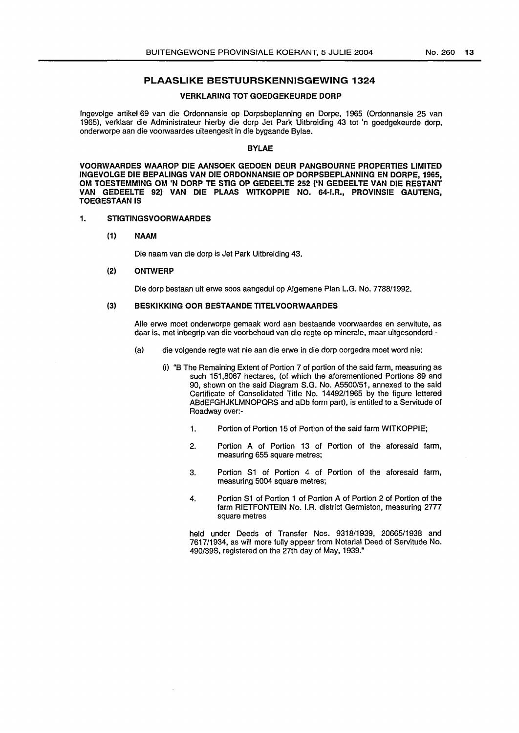# **PLAASLIKE BESTUURSKENNISGEWING 1324**

# **VERKLARING TOT GOEDGEKEURDE DORP**

lngevolge artikel 69 van die Ordonnansie op Dorpsbeplanning en Dorpe, 1965 (Ordonnansie 25 van 1965), verklaar die Administrateur hierby die dorp Jet Park Uitbreiding 43 tot 'n goedgekeurde dorp, onderworpe aan die voorwaardes uiteengesit in die bygaande Bylae.

#### **BYLAE**

**VOORWAARDES WAAROP DIE AANSOEK GEDOEN DEUR PANGBOURNE PROPERTIES LIMITED INGEVOLGE DIE BEPALINGS VAN DIE ORDONNANSIE OP DORPSBEPLANNING EN DORPE,1965, OM TOESTEMMING OM 'N DORP TE STIG OP GEDEELTE 252 ('N GEDEELTE VAN DIE RESTANT VAN GEDEELTE 92) VAN DIE PLAAS WITKOPPIE NO. 64-I.R., PROVINSIE GAUTENG, TOEGESTAAN IS** 

# **1. STIGTINGSVOORWAARDES**

### **(1) NAAM**

Die naam van die dorp is Jet Park Uitbreiding 43.

#### (2) **ONTWERP**

Die dorp bestaan uit erwe soos aangedui op Algemene Plan L.G. No. 7788/1992.

### (3) **BESKIKKING OOR BESTAANDE TITELVOORWAARDES**

Aile erwe moet onderworpe gemaak word aan bestaande voorwaardes en serwitute, as daar is, met inbegrip van die voorbehoud van die regte op minerale, maar uitgesonderd -

- (a) die volgende regte wat nie aan die erwe in die dorp oorgedra moet word nie:
	- (i) "B The Remaining Extent of Portion 7 of portion of the said farm, measuring as such 151,8067 hectares, (of which the aforementioned Portions 89 and 90, shown on the said Diagram S.G. No. A5500/51, annexed to the said Certificate of Consolidated Title No. 14492/1965 by the figure lettered ABdEFGHJKLMNOPQRS and aDb form part), is entitled to a Servitude of Roadway over:-
		- 1. Portion of Portion 15 of Portion of the said farm WITKOPPIE;
		- 2. Portion A of Portion 13 of Portion of the aforesaid farm, measuring 655 square metres;
		- 3. Portion S1 of Portion 4 of Portion of the aforesaid farm, measuring 5004 square metres;
		- 4. Portion S1 of Portion 1 of Portion A of Portion 2 of Portion of the farm RIETFONTEIN No. I.A. district Germiston, measuring 2777 square metres

held under Deeds of Transfer Nos. 9318/1939, 20665/1938 and 7617/1934, as will more fully appear from Notarial Deed of Servitude No. 490/39S, registered on the 27th day of May, 1939."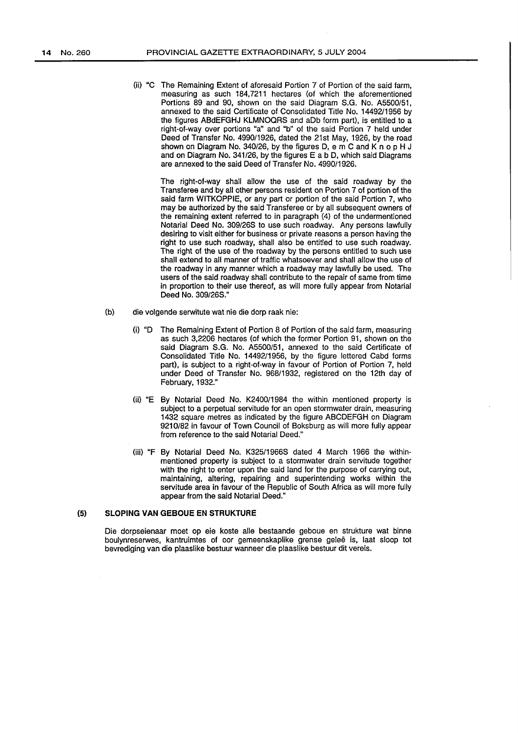(ii) "C The Remaining Extent of aforesaid Portion 7 of Portion of the said farm, measuring as such 184,7211 hectares (of which the aforementioned Portions 89 and 90, shown on the said Diagram S.G. No. A5500/51, annexed to the said Certificate of Consolidated Title No. 14492/1956 by the figures ABdEFGHJ KLMNOQRS and aDb form part), is entitled to a right-of-way over portions "a" and "b" of the said Portion 7 held under Deed of Transfer No. 4990/1926, dated the 21st May, 1926, by the road shown on Diagram No. 340/26, by the figures D, e m C and K n o p H J and on Diagram No. 341/26, by the figures E a b D, which said Diagrams are annexed to the said Deed of Transfer No. 4990/1926.

The right-of-way shall allow the use of the said roadway by the Transferee and by all other persons resident on Portion 7 of portion of the said farm WITKOPPIE, or any part or portion of the said Portion 7, who may be authorized by the said Transferee or by all subsequent owners of the remaining extent referred to in paragraph (4) of the undermentioned Notarial Deed No. 309/26S to use such roadway. Any persons lawfully desiring to visit either for business or private reasons a person having the right to use such roadway, shall also be entitled to use such roadway. The right of the use of the roadway by the persons entitled to such use shall extend to all manner of traffic whatsoever and shall allow the use of the roadway in any manner which a roadway may lawfully be used. The users of the said roadway shall contribute to the repair of same from time in proportion to their use thereof, as will more fully appear from Notarial Deed No. 309/26S."

- (b) die volgende serwitute wat nie die dorp raak nie:
	- (i) "D The Remaining Extent of Portion 8 of Portion of the said farm, measuring as such 3,2206 hectares (of which the former Portion 91, shown on the said Diagram S.G. No. A5500/51, annexed to the said Certificate of Consolidated Title No. 14492/1956, by the figure lettered Cabd forms part), is subject to a right-of-way in favour of Portion of Portion 7, held under Deed of Transfer No. 968/1932, registered on the 12th day of February, 1932."
	- (ii) "E By Notarial Deed No. K2400/1984 the within mentioned property is subject to a perpetual servitude for an open stormwater drain, measuring 1432 square metres as indicated by the figure ABCDEFGH on Diagram 9210/82 in favour of Town Council of Boksburg as will more fully appear from reference to the said Notarial Deed."
	- (iii) "F By Notarial Deed No. K325/1966S dated 4 March 1966 the withinmentioned property is subject to a stormwater drain servitude together with the right to enter upon the said land for the purpose of carrying out, maintaining, altering, repairing and superintending works within the servitude area in favour of the Republic of South Africa as will more fully appear from the said Notarial Deed."

#### (5) **SLOPING VAN GEBOUE EN STRUKTURE**

Die dorpseienaar meet op eie koste aile bestaande geboue en strukture wat binne boulynreserwes, kantruimtes of oar gemeenskaplike grense gelee is, laat sloop tot bevrediging van die plaaslike bestuur wanneer die plaaslike bestuur dit vereis.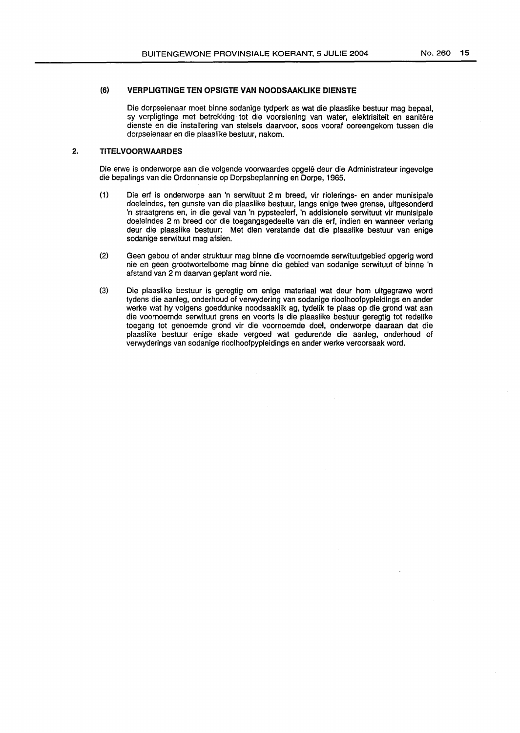# (6) **VERPLIGTINGE TEN OPSIGTE VAN NOODSAAKLIKE DIENSTE**

Die dorpseienaar meet binne sodanige tydperk as wat die plaaslike bestuur mag bepaal, sy verpligtinge met betrekking tot die voorsiening van water, elektrisiteit en sanitere dienste en die installering van stelsels daarvoor, soos vooraf ooreengekom tussen die dorpseienaar en die plaaslike bestuur, nakom.

### **2. TITELVOORWAARDES**

Die erwe is onderworpe aan die volgende voorwaardes opgelê deur die Administrateur ingevolge die bepalings van die Ordonnansie op Dorpsbeplanning en Dorpe, 1965.

- (1) Die erf is onderworpe aan 'n serwituut 2m breed, vir riolerings- en ander munisipale doeleindes, ten gunste van die plaaslike bestuur, langs enige twee grense, uitgesonderd 'n straatgrens en, in die geval van 'n pypsteelerf, 'n addisionele serwituut vir munisipale doeleindes 2 m breed oor die toegangsgedeelte van die erf, indien en wanneer verlang deur die plaaslike bestuur: Met dien verstande dat die plaaslike bestuur van enige sodanige serwituut mag afsien.
- (2) Geen gebou of ander struktuur mag binne die voornoemde serwituutgebied opgerig word nie en geen grootwortelbome mag binne die gebied van sodanige serwituut of binne 'n afstand van 2 m daarvan geplant word nie.
- (3) Die plaaslike bestuur is geregtig om enige materiaal wat deur hom uitgegrawe word tydens die aanleg, onderhoud of verwydering van sodanige rioolhoofpypleidings en ander werke wat hy volgens goeddunke noodsaaklik ag, tydelik te plaas op die grond wat aan die voornoemde serwituut grens en voorts is die plaaslike bestuur geregtig tot redelike toegang tot genoemde grond vir die voornoemde doel, onderworpe daaraan dat die plaaslike bestuur enige skade vergoed wat gedurende die aanleg, onderhoud of verwyderings van sodanige rioolhoofpypleidings en ander werke veroorsaak word.